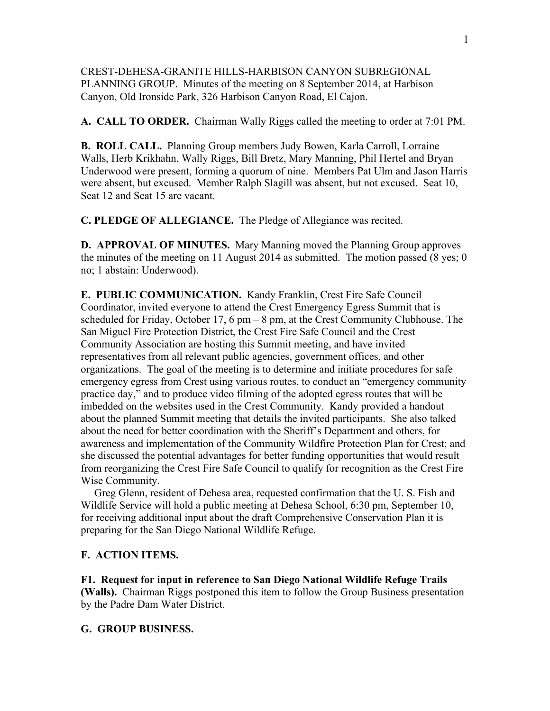CREST-DEHESA-GRANITE HILLS-HARBISON CANYON SUBREGIONAL PLANNING GROUP. Minutes of the meeting on 8 September 2014, at Harbison Canyon, Old Ironside Park, 326 Harbison Canyon Road, El Cajon.

**A. CALL TO ORDER.** Chairman Wally Riggs called the meeting to order at 7:01 PM.

**B. ROLL CALL.** Planning Group members Judy Bowen, Karla Carroll, Lorraine Walls, Herb Krikhahn, Wally Riggs, Bill Bretz, Mary Manning, Phil Hertel and Bryan Underwood were present, forming a quorum of nine. Members Pat Ulm and Jason Harris were absent, but excused. Member Ralph Slagill was absent, but not excused. Seat 10, Seat 12 and Seat 15 are vacant.

**C. PLEDGE OF ALLEGIANCE.** The Pledge of Allegiance was recited.

**D. APPROVAL OF MINUTES.** Mary Manning moved the Planning Group approves the minutes of the meeting on 11 August 2014 as submitted. The motion passed (8 yes; 0 no; 1 abstain: Underwood).

**E. PUBLIC COMMUNICATION.** Kandy Franklin, Crest Fire Safe Council Coordinator, invited everyone to attend the Crest Emergency Egress Summit that is scheduled for Friday, October 17, 6 pm – 8 pm, at the Crest Community Clubhouse. The San Miguel Fire Protection District, the Crest Fire Safe Council and the Crest Community Association are hosting this Summit meeting, and have invited representatives from all relevant public agencies, government offices, and other organizations. The goal of the meeting is to determine and initiate procedures for safe emergency egress from Crest using various routes, to conduct an "emergency community practice day," and to produce video filming of the adopted egress routes that will be imbedded on the websites used in the Crest Community. Kandy provided a handout about the planned Summit meeting that details the invited participants. She also talked about the need for better coordination with the Sheriff's Department and others, for awareness and implementation of the Community Wildfire Protection Plan for Crest; and she discussed the potential advantages for better funding opportunities that would result from reorganizing the Crest Fire Safe Council to qualify for recognition as the Crest Fire Wise Community.

 Greg Glenn, resident of Dehesa area, requested confirmation that the U. S. Fish and Wildlife Service will hold a public meeting at Dehesa School, 6:30 pm, September 10, for receiving additional input about the draft Comprehensive Conservation Plan it is preparing for the San Diego National Wildlife Refuge.

## **F. ACTION ITEMS.**

**F1. Request for input in reference to San Diego National Wildlife Refuge Trails (Walls).** Chairman Riggs postponed this item to follow the Group Business presentation by the Padre Dam Water District.

## **G. GROUP BUSINESS.**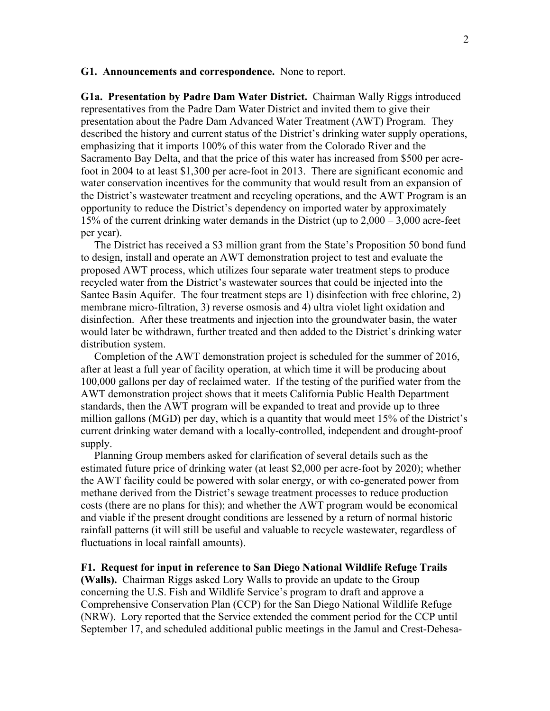## **G1. Announcements and correspondence.** None to report.

**G1a. Presentation by Padre Dam Water District.** Chairman Wally Riggs introduced representatives from the Padre Dam Water District and invited them to give their presentation about the Padre Dam Advanced Water Treatment (AWT) Program. They described the history and current status of the District's drinking water supply operations, emphasizing that it imports 100% of this water from the Colorado River and the Sacramento Bay Delta, and that the price of this water has increased from \$500 per acrefoot in 2004 to at least \$1,300 per acre-foot in 2013. There are significant economic and water conservation incentives for the community that would result from an expansion of the District's wastewater treatment and recycling operations, and the AWT Program is an opportunity to reduce the District's dependency on imported water by approximately 15% of the current drinking water demands in the District (up to 2,000 – 3,000 acre-feet per year).

 The District has received a \$3 million grant from the State's Proposition 50 bond fund to design, install and operate an AWT demonstration project to test and evaluate the proposed AWT process, which utilizes four separate water treatment steps to produce recycled water from the District's wastewater sources that could be injected into the Santee Basin Aquifer. The four treatment steps are 1) disinfection with free chlorine, 2) membrane micro-filtration, 3) reverse osmosis and 4) ultra violet light oxidation and disinfection. After these treatments and injection into the groundwater basin, the water would later be withdrawn, further treated and then added to the District's drinking water distribution system.

 Completion of the AWT demonstration project is scheduled for the summer of 2016, after at least a full year of facility operation, at which time it will be producing about 100,000 gallons per day of reclaimed water. If the testing of the purified water from the AWT demonstration project shows that it meets California Public Health Department standards, then the AWT program will be expanded to treat and provide up to three million gallons (MGD) per day, which is a quantity that would meet 15% of the District's current drinking water demand with a locally-controlled, independent and drought-proof supply.

 Planning Group members asked for clarification of several details such as the estimated future price of drinking water (at least \$2,000 per acre-foot by 2020); whether the AWT facility could be powered with solar energy, or with co-generated power from methane derived from the District's sewage treatment processes to reduce production costs (there are no plans for this); and whether the AWT program would be economical and viable if the present drought conditions are lessened by a return of normal historic rainfall patterns (it will still be useful and valuable to recycle wastewater, regardless of fluctuations in local rainfall amounts).

## **F1. Request for input in reference to San Diego National Wildlife Refuge Trails**

**(Walls).** Chairman Riggs asked Lory Walls to provide an update to the Group concerning the U.S. Fish and Wildlife Service's program to draft and approve a Comprehensive Conservation Plan (CCP) for the San Diego National Wildlife Refuge (NRW). Lory reported that the Service extended the comment period for the CCP until September 17, and scheduled additional public meetings in the Jamul and Crest-Dehesa-